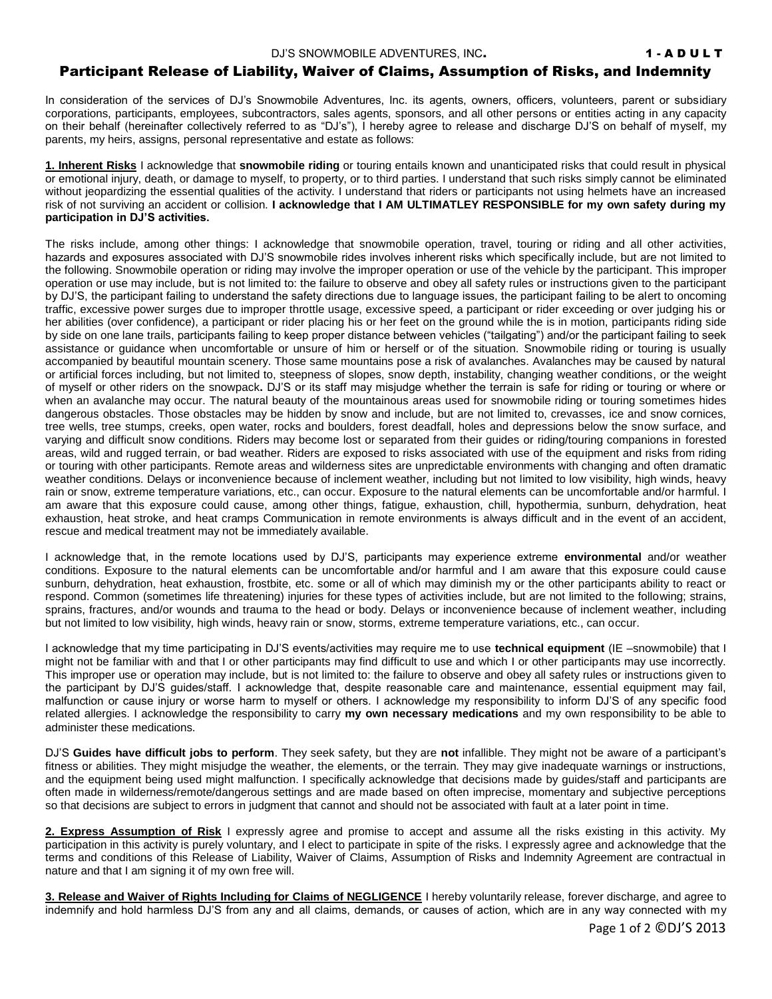## Participant Release of Liability, Waiver of Claims, Assumption of Risks, and Indemnity

In consideration of the services of DJ's Snowmobile Adventures, Inc. its agents, owners, officers, volunteers, parent or subsidiary corporations, participants, employees, subcontractors, sales agents, sponsors, and all other persons or entities acting in any capacity on their behalf (hereinafter collectively referred to as "DJ's"), I hereby agree to release and discharge DJ'S on behalf of myself, my parents, my heirs, assigns, personal representative and estate as follows:

**1. Inherent Risks** I acknowledge that **snowmobile riding** or touring entails known and unanticipated risks that could result in physical or emotional injury, death, or damage to myself, to property, or to third parties. I understand that such risks simply cannot be eliminated without jeopardizing the essential qualities of the activity. I understand that riders or participants not using helmets have an increased risk of not surviving an accident or collision. **I acknowledge that I AM ULTIMATLEY RESPONSIBLE for my own safety during my participation in DJ'S activities.** 

The risks include, among other things: I acknowledge that snowmobile operation, travel, touring or riding and all other activities, hazards and exposures associated with DJ'S snowmobile rides involves inherent risks which specifically include, but are not limited to the following. Snowmobile operation or riding may involve the improper operation or use of the vehicle by the participant. This improper operation or use may include, but is not limited to: the failure to observe and obey all safety rules or instructions given to the participant by DJ'S, the participant failing to understand the safety directions due to language issues, the participant failing to be alert to oncoming traffic, excessive power surges due to improper throttle usage, excessive speed, a participant or rider exceeding or over judging his or her abilities (over confidence), a participant or rider placing his or her feet on the ground while the is in motion, participants riding side by side on one lane trails, participants failing to keep proper distance between vehicles ("tailgating") and/or the participant failing to seek assistance or guidance when uncomfortable or unsure of him or herself or of the situation. Snowmobile riding or touring is usually accompanied by beautiful mountain scenery. Those same mountains pose a risk of avalanches. Avalanches may be caused by natural or artificial forces including, but not limited to, steepness of slopes, snow depth, instability, changing weather conditions, or the weight of myself or other riders on the snowpack**.** DJ'S or its staff may misjudge whether the terrain is safe for riding or touring or where or when an avalanche may occur. The natural beauty of the mountainous areas used for snowmobile riding or touring sometimes hides dangerous obstacles. Those obstacles may be hidden by snow and include, but are not limited to, crevasses, ice and snow cornices, tree wells, tree stumps, creeks, open water, rocks and boulders, forest deadfall, holes and depressions below the snow surface, and varying and difficult snow conditions. Riders may become lost or separated from their guides or riding/touring companions in forested areas, wild and rugged terrain, or bad weather. Riders are exposed to risks associated with use of the equipment and risks from riding or touring with other participants. Remote areas and wilderness sites are unpredictable environments with changing and often dramatic weather conditions. Delays or inconvenience because of inclement weather, including but not limited to low visibility, high winds, heavy rain or snow, extreme temperature variations, etc., can occur. Exposure to the natural elements can be uncomfortable and/or harmful. I am aware that this exposure could cause, among other things, fatigue, exhaustion, chill, hypothermia, sunburn, dehydration, heat exhaustion, heat stroke, and heat cramps Communication in remote environments is always difficult and in the event of an accident, rescue and medical treatment may not be immediately available.

I acknowledge that, in the remote locations used by DJ'S, participants may experience extreme **environmental** and/or weather conditions. Exposure to the natural elements can be uncomfortable and/or harmful and I am aware that this exposure could cause sunburn, dehydration, heat exhaustion, frostbite, etc. some or all of which may diminish my or the other participants ability to react or respond. Common (sometimes life threatening) injuries for these types of activities include, but are not limited to the following; strains, sprains, fractures, and/or wounds and trauma to the head or body. Delays or inconvenience because of inclement weather, including but not limited to low visibility, high winds, heavy rain or snow, storms, extreme temperature variations, etc., can occur.

I acknowledge that my time participating in DJ'S events/activities may require me to use **technical equipment** (IE –snowmobile) that I might not be familiar with and that I or other participants may find difficult to use and which I or other participants may use incorrectly. This improper use or operation may include, but is not limited to: the failure to observe and obey all safety rules or instructions given to the participant by DJ'S guides/staff. I acknowledge that, despite reasonable care and maintenance, essential equipment may fail, malfunction or cause injury or worse harm to myself or others. I acknowledge my responsibility to inform DJ'S of any specific food related allergies. I acknowledge the responsibility to carry **my own necessary medications** and my own responsibility to be able to administer these medications.

DJ'S **Guides have difficult jobs to perform**. They seek safety, but they are **not** infallible. They might not be aware of a participant's fitness or abilities. They might misjudge the weather, the elements, or the terrain. They may give inadequate warnings or instructions, and the equipment being used might malfunction. I specifically acknowledge that decisions made by guides/staff and participants are often made in wilderness/remote/dangerous settings and are made based on often imprecise, momentary and subjective perceptions so that decisions are subject to errors in judgment that cannot and should not be associated with fault at a later point in time.

**2. Express Assumption of Risk** I expressly agree and promise to accept and assume all the risks existing in this activity. My participation in this activity is purely voluntary, and I elect to participate in spite of the risks. I expressly agree and acknowledge that the terms and conditions of this Release of Liability, Waiver of Claims, Assumption of Risks and Indemnity Agreement are contractual in nature and that I am signing it of my own free will.

**3. Release and Waiver of Rights Including for Claims of NEGLIGENCE** I hereby voluntarily release, forever discharge, and agree to indemnify and hold harmless DJ'S from any and all claims, demands, or causes of action, which are in any way connected with my